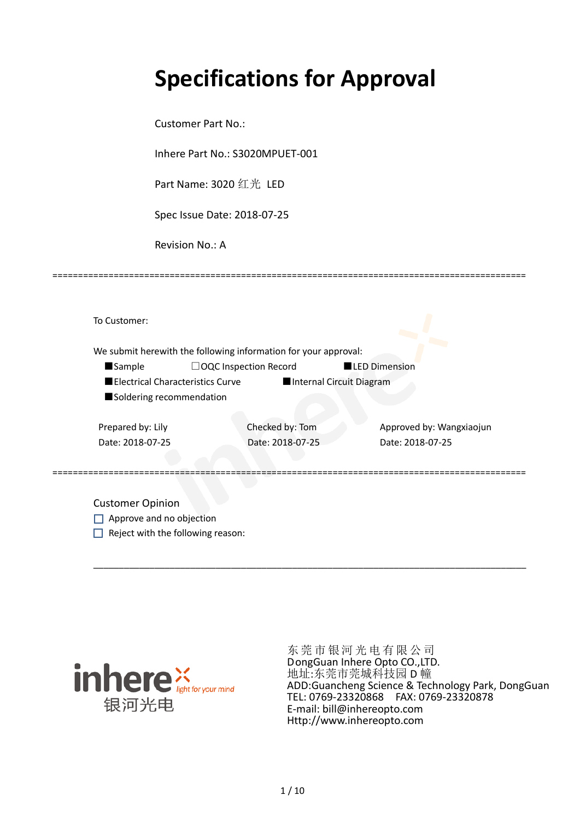# **Specifications for Approval**

Customer Part No.:

Inhere Part No.: S3020MPUET-001

Part Name: 3020 红光 LED

Spec Issue Date: 2018-07-25

Revision No.: A

|                          |                                         | We submit herewith the following information for your approval: |                          |                          |
|--------------------------|-----------------------------------------|-----------------------------------------------------------------|--------------------------|--------------------------|
| <b>Sample</b>            |                                         | $\Box$ OQC Inspection Record                                    | <b>LED Dimension</b>     |                          |
|                          | <b>Electrical Characteristics Curve</b> |                                                                 | Internal Circuit Diagram |                          |
| Soldering recommendation |                                         |                                                                 |                          |                          |
| Prepared by: Lily        |                                         | Checked by: Tom                                                 |                          | Approved by: Wangxiaojun |
| Date: 2018-07-25         |                                         | Date: 2018-07-25                                                |                          | Date: 2018-07-25         |
|                          |                                         |                                                                 |                          |                          |

\_\_\_\_\_\_\_\_\_\_\_\_\_\_\_\_\_\_\_\_\_\_\_\_\_\_\_\_\_\_\_\_\_\_\_\_\_\_\_\_\_\_\_\_\_\_\_\_\_\_\_\_\_\_\_\_\_\_\_\_\_\_\_\_\_\_\_\_\_\_\_\_\_\_\_\_\_\_\_\_\_\_\_\_\_

=============================================================================================

Approve and no objection  $\Box$  Reject with the following reason:



东莞市银河光电有限公司 DongGuan Inhere Opto CO.,LTD. 地址:东莞市莞城科技园 D 幢 ADD:Guancheng Science & Technology Park, DongGuan TEL: 0769-23320868 FAX: 0769-23320878 E-mail: bill@inhereopto.com [Http://www.inhereopto.com](http://www.inhereopto.com/)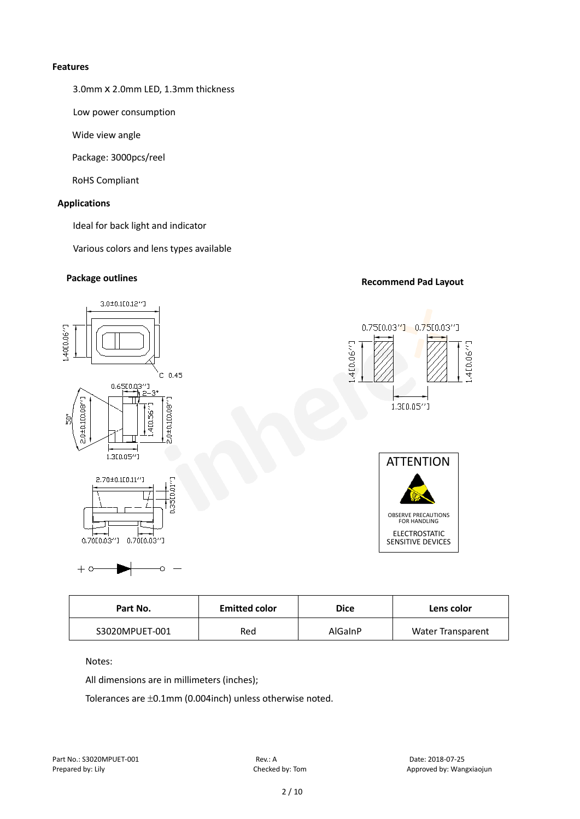#### **Features**

3.0mmⅹ2.0mm LED, 1.3mm thickness

Low power consumption

Wide view angle

Package: 3000pcs/reel

RoHS Compliant

#### **Applications**

Ideal for back light and indicator

Various colors and lens types available

# **Package outlines Recommend Pad Layout**



| Part No.<br><b>Emitted color</b> |     | Dice    | Lens color               |
|----------------------------------|-----|---------|--------------------------|
| S3020MPUET-001                   | Red | AlGaInP | <b>Water Transparent</b> |

Notes:

All dimensions are in millimeters (inches);

Tolerances are ±0.1mm (0.004inch) unless otherwise noted.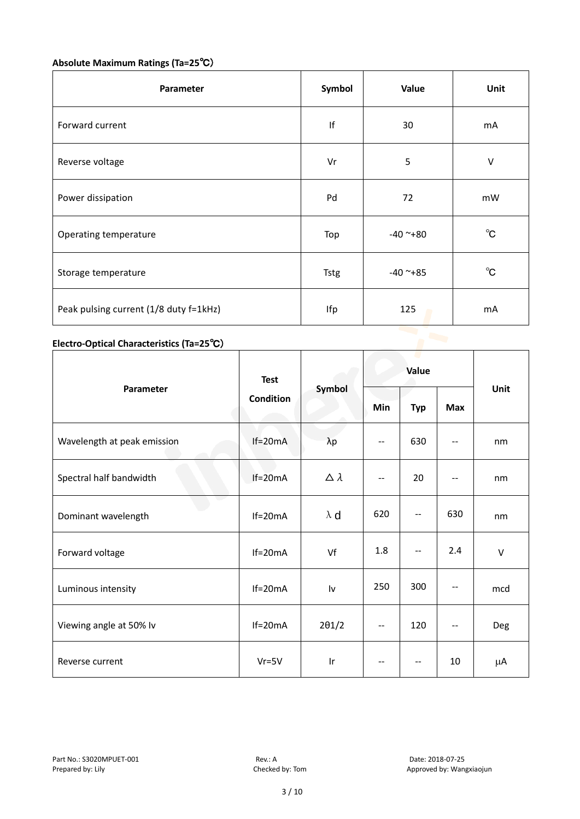# **Absolute Maximum Ratings (Ta=25**℃)

| Parameter                              | Symbol      | Value      | Unit         |
|----------------------------------------|-------------|------------|--------------|
| Forward current                        | If          | 30         | mA           |
| Reverse voltage                        | Vr          | 5          | V            |
| Power dissipation                      | Pd          | 72         | mW           |
| Operating temperature                  | Top         | $-40$ ~+80 | $^{\circ}$ C |
| Storage temperature                    | <b>Tstg</b> | $-40$ ~+85 | $^{\circ}$ C |
| Peak pulsing current (1/8 duty f=1kHz) | Ifp         | 125        | mA           |

# **Electro-Optical Characteristics (Ta=25**℃)

|                             | <b>Test</b>      |                  | Value |            |            |        |
|-----------------------------|------------------|------------------|-------|------------|------------|--------|
| Parameter                   | <b>Condition</b> | Symbol           | Min   | <b>Typ</b> | <b>Max</b> | Unit   |
| Wavelength at peak emission | $If=20mA$        | $\lambda p$      | --    | 630        |            | nm     |
| Spectral half bandwidth     | $If=20mA$        | $\Delta \lambda$ | --    | 20         | --         | nm     |
| Dominant wavelength         | $If=20mA$        | $\lambda$ d      | 620   | --         | 630        | nm     |
| Forward voltage             | $If=20mA$        | Vf               | 1.8   | --         | 2.4        | $\vee$ |
| Luminous intensity          | $If=20mA$        | Iv               | 250   | 300        |            | mcd    |
| Viewing angle at 50% lv     | $If=20mA$        | $2\theta$ 1/2    | $-$   | 120        | $-$        | Deg    |
| Reverse current             | $Vr = 5V$        | Ir               | --    | --         | 10         | μA     |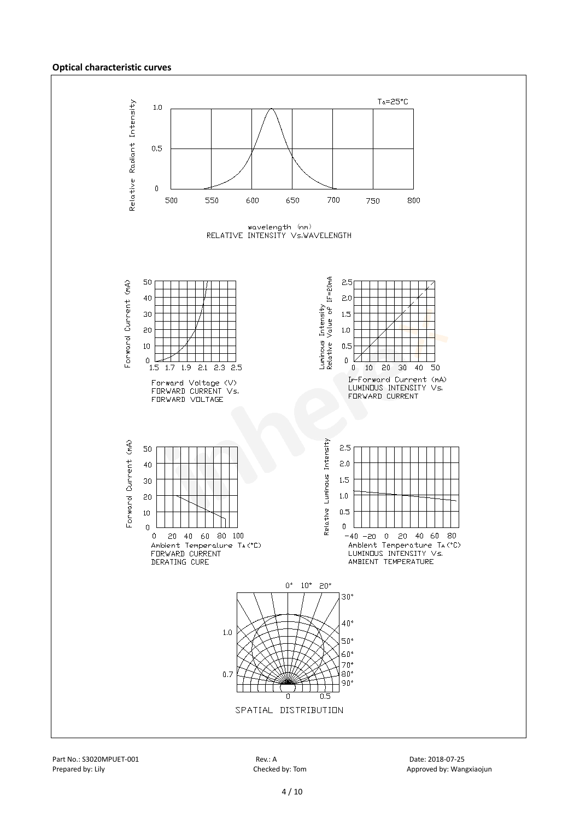#### **Optical characteristic curves**

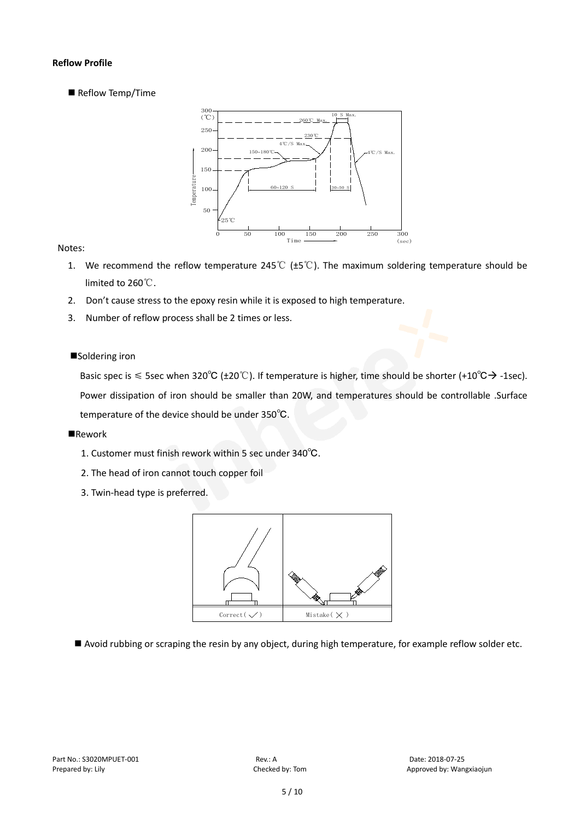#### **Reflow Profile**

Reflow Temp/Time



#### Notes:

- 1. We recommend the reflow temperature 245℃ (±5℃). The maximum soldering temperature should be limited to 260℃.
- 2. Don't cause stress to the epoxy resin while it is exposed to high temperature.
- 3. Number of reflow process shall be 2 times or less.

#### ■Soldering iron

Basic spec is  $\leq$  5sec when 320°C (±20°C). If temperature is higher, time should be shorter (+10°C $\rightarrow$ -1sec). Power dissipation of iron should be smaller than 20W, and temperatures should be controllable .Surface temperature of the device should be under 350℃.

#### **Rework**

- 1. Customer must finish rework within 5 sec under 340℃.
- 2. The head of iron cannot touch copper foil
- 3. Twin-head type is preferred.



Avoid rubbing or scraping the resin by any object, during high temperature, for example reflow solder etc.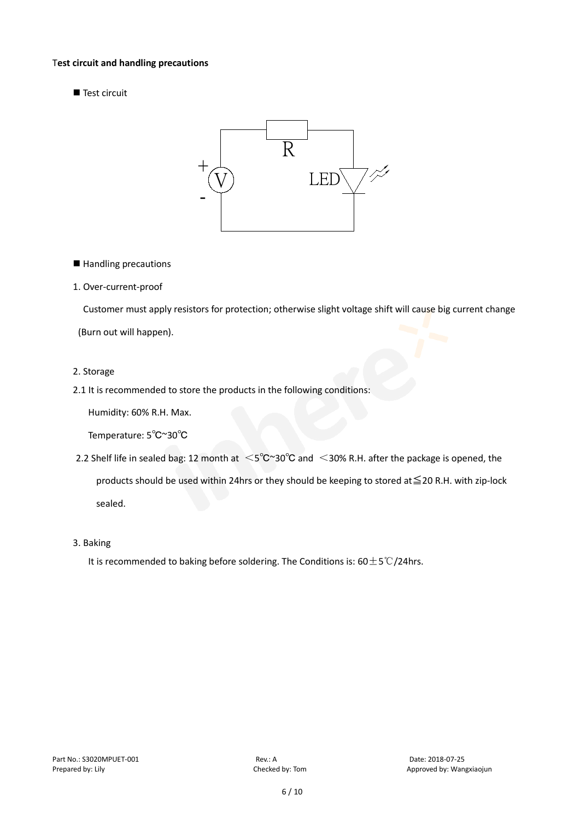#### T**est circuit and handling precautions**

Test circuit



■ Handling precautions

#### 1. Over-current-proof

Customer must apply resistors for protection; otherwise slight voltage shift will cause big current change

(Burn out will happen).

#### 2. Storage

2.1 It is recommended to store the products in the following conditions:

Humidity: 60% R.H. Max.

Temperature: 5℃~30℃

- 2.2 Shelf life in sealed bag: 12 month at <5℃~30°C and <30% R.H. after the package is opened, the products should be used within 24hrs or they should be keeping to stored at≦20 R.H. with zip-lock sealed.
- 3. Baking

It is recommended to baking before soldering. The Conditions is: 60±5℃/24hrs.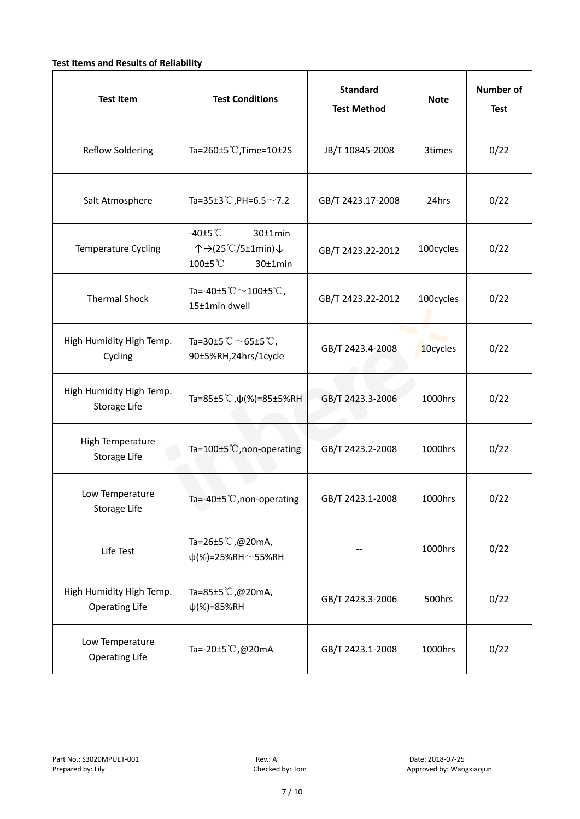### **Test Items and Results of Reliability**

| <b>Test Item</b>                                  | <b>Test Conditions</b>                                                         | <b>Standard</b><br><b>Test Method</b> | <b>Note</b> | <b>Number of</b><br><b>Test</b> |
|---------------------------------------------------|--------------------------------------------------------------------------------|---------------------------------------|-------------|---------------------------------|
| <b>Reflow Soldering</b>                           | Ta=260±5 °C, Time=10±2S                                                        | JB/T 10845-2008                       | 3times      | 0/22                            |
| Salt Atmosphere                                   | Ta=35±3°C, PH=6.5 $\sim$ 7.2                                                   | GB/T 2423.17-2008                     | 24hrs       | 0/22                            |
| Temperature Cycling                               | -40 $\pm$ 5 $\degree$ C<br>30±1min<br>个→(25℃/5±1min)↓<br>100±5°C<br>$30±1$ min | GB/T 2423.22-2012                     | 100cycles   | 0/22                            |
| <b>Thermal Shock</b>                              | Ta=-40±5 $^\circ\text{C}$ $\sim$ 100±5 $^\circ\text{C}$ ,<br>15±1min dwell     | GB/T 2423.22-2012                     | 100cycles   | 0/22                            |
| High Humidity High Temp.<br>Cycling               | Ta=30±5 °C $\sim$ 65±5 °C,<br>90±5%RH,24hrs/1cycle                             | GB/T 2423.4-2008                      | 10cycles    | 0/22                            |
| High Humidity High Temp.<br>Storage Life          | Ta=85±5 °C, $\psi$ (%)=85±5%RH                                                 | GB/T 2423.3-2006                      | 1000hrs     | 0/22                            |
| High Temperature<br>Storage Life                  | Ta=100±5°C, non-operating                                                      | GB/T 2423.2-2008                      | 1000hrs     | 0/22                            |
| Low Temperature<br>Storage Life                   | Ta=-40±5 $°C$ , non-operating                                                  |                                       | 1000hrs     | 0/22                            |
| Life Test                                         | Ta=26±5℃,@20mA,<br>$\psi$ (%)=25%RH~55%RH                                      |                                       | 1000hrs     | 0/22                            |
| High Humidity High Temp.<br><b>Operating Life</b> | Ta=85±5℃,@20mA,<br>$\psi$ (%)=85%RH                                            | GB/T 2423.3-2006                      | 500hrs      | 0/22                            |
| Low Temperature<br><b>Operating Life</b>          | Ta=-20±5℃,@20mA                                                                | GB/T 2423.1-2008                      | 1000hrs     | 0/22                            |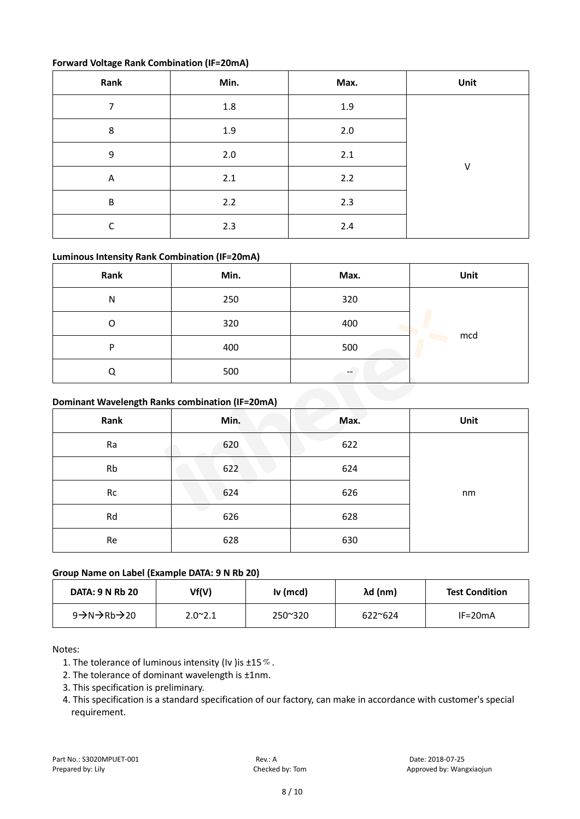#### **Forward Voltage Rank Combination (IF=20mA)**

| Rank                    | Min.    | Max. | Unit |
|-------------------------|---------|------|------|
| 7                       | $1.8\,$ | 1.9  |      |
| 8                       | 1.9     | 2.0  |      |
| 9                       | $2.0\,$ | 2.1  |      |
| $\overline{\mathsf{A}}$ | 2.1     | 2.2  | V    |
| B                       | 2.2     | 2.3  |      |
| ┌                       | 2.3     | 2.4  |      |

### **Luminous Intensity Rank Combination (IF=20mA)**

| Rank                                            | Min. | Max. | Unit |
|-------------------------------------------------|------|------|------|
| N                                               | 250  | 320  |      |
| O                                               | 320  | 400  |      |
| P                                               | 400  | 500  | mcd  |
| Q                                               | 500  |      |      |
| Dominant Wavelength Ranks combination (IF=20mA) |      |      |      |

# **Dominant Wavelength Ranks combination (IF=20mA)**

| Rank      | Min. | Max. | Unit |
|-----------|------|------|------|
| Ra        | 620  | 622  |      |
| <b>Rb</b> | 622  | 624  |      |
| Rc        | 624  | 626  | nm   |
| Rd        | 626  | 628  |      |
| Re        | 628  | 630  |      |

### **Group Name on Label (Example DATA: 9 N Rb 20)**

| <b>DATA: 9 N Rb 20</b> | Vf(V)            | Iv (mcd)         | λd (nm)          | <b>Test Condition</b> |
|------------------------|------------------|------------------|------------------|-----------------------|
| 9→N→Rb→20              | $2.0^{\circ}2.1$ | $250^{\circ}320$ | $622^{\circ}624$ | $IF = 20mA$           |

Notes:

- 1. The tolerance of luminous intensity (Iv ) is  $\pm 15\%$ .
- 2. The tolerance of dominant wavelength is ±1nm.
- 3. This specification is preliminary.
- 4. This specification is a standard specification of our factory, can make in accordance with customer's special requirement.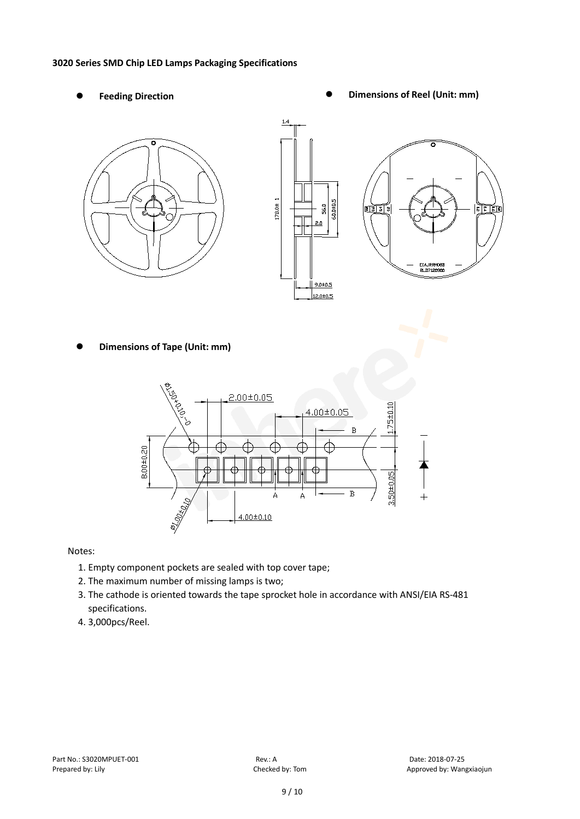#### **3020 Series SMD Chip LED Lamps Packaging Specifications**

- 
- Feeding Direction **Constanting Construction Constanting Operations Construction Constanting Construction Constanting Construction**

 $R$  $R$  $R$ 





**Dimensions of Tape (Unit: mm)**



Notes:

- 1. Empty component pockets are sealed with top cover tape;
- 2. The maximum number of missing lamps is two;
- 3. The cathode is oriented towards the tape sprocket hole in accordance with ANSI/EIA RS-481 specifications.
- 4. 3,000pcs/Reel.